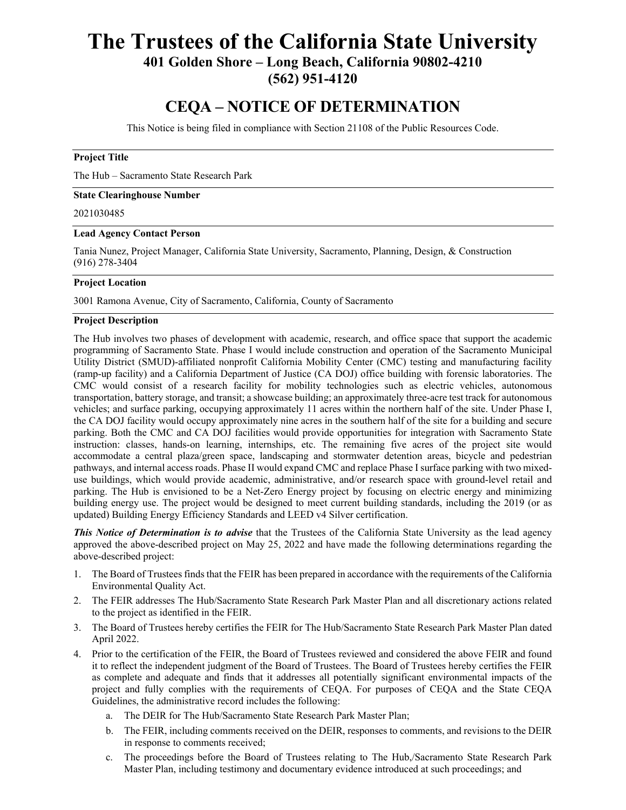# **The Trustees of the California State University**

**401 Golden Shore – Long Beach, California 90802-4210** 

**(562) 951-4120** 

## **CEQA – NOTICE OF DETERMINATION**

This Notice is being filed in compliance with Section 21108 of the Public Resources Code.

### **Project Title**

The Hub – Sacramento State Research Park

#### **State Clearinghouse Number**

#### 2021030485

#### **Lead Agency Contact Person**

Tania Nunez, Project Manager, California State University, Sacramento, Planning, Design, & Construction (916) 278-3404

#### **Project Location**

3001 Ramona Avenue, City of Sacramento, California, County of Sacramento

#### **Project Description**

The Hub involves two phases of development with academic, research, and office space that support the academic programming of Sacramento State. Phase I would include construction and operation of the Sacramento Municipal Utility District (SMUD)-affiliated nonprofit California Mobility Center (CMC) testing and manufacturing facility (ramp-up facility) and a California Department of Justice (CA DOJ) office building with forensic laboratories. The CMC would consist of a research facility for mobility technologies such as electric vehicles, autonomous transportation, battery storage, and transit; a showcase building; an approximately three-acre test track for autonomous vehicles; and surface parking, occupying approximately 11 acres within the northern half of the site. Under Phase I, the CA DOJ facility would occupy approximately nine acres in the southern half of the site for a building and secure parking. Both the CMC and CA DOJ facilities would provide opportunities for integration with Sacramento State instruction: classes, hands-on learning, internships, etc. The remaining five acres of the project site would accommodate a central plaza/green space, landscaping and stormwater detention areas, bicycle and pedestrian pathways, and internal access roads. Phase II would expand CMC and replace Phase I surface parking with two mixeduse buildings, which would provide academic, administrative, and/or research space with ground-level retail and parking. The Hub is envisioned to be a Net-Zero Energy project by focusing on electric energy and minimizing building energy use. The project would be designed to meet current building standards, including the 2019 (or as updated) Building Energy Efficiency Standards and LEED v4 Silver certification.

*This Notice of Determination is to advise* that the Trustees of the California State University as the lead agency approved the above-described project on May 25, 2022 and have made the following determinations regarding the above-described project:

- 1. The Board of Trustees finds that the FEIR has been prepared in accordance with the requirements of the California Environmental Quality Act.
- 2. The FEIR addresses The Hub/Sacramento State Research Park Master Plan and all discretionary actions related to the project as identified in the FEIR.
- 3. The Board of Trustees hereby certifies the FEIR for The Hub/Sacramento State Research Park Master Plan dated April 2022.
- 4. Prior to the certification of the FEIR, the Board of Trustees reviewed and considered the above FEIR and found it to reflect the independent judgment of the Board of Trustees. The Board of Trustees hereby certifies the FEIR as complete and adequate and finds that it addresses all potentially significant environmental impacts of the project and fully complies with the requirements of CEQA. For purposes of CEQA and the State CEQA Guidelines, the administrative record includes the following:
	- a. The DEIR for The Hub/Sacramento State Research Park Master Plan;
	- b. The FEIR, including comments received on the DEIR, responses to comments, and revisions to the DEIR in response to comments received;
	- c. The proceedings before the Board of Trustees relating to The Hub,/Sacramento State Research Park Master Plan, including testimony and documentary evidence introduced at such proceedings; and